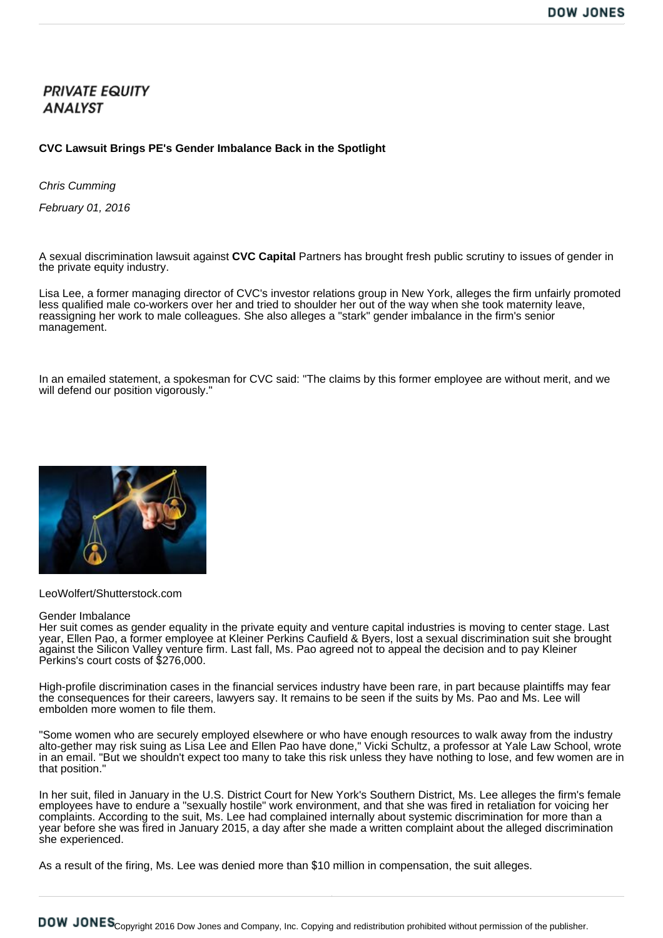## **PRIVATE EQUITY ANALYST**

## **CVC Lawsuit Brings PE's Gender Imbalance Back in the Spotlight**

*Chris Cumming*

*February 01, 2016*

A sexual discrimination lawsuit against **CVC Capital** Partners has brought fresh public scrutiny to issues of gender in the private equity industry.

Lisa Lee, a former managing director of CVC's investor relations group in New York, alleges the firm unfairly promoted less qualified male co-workers over her and tried to shoulder her out of the way when she took maternity leave, reassigning her work to male colleagues. She also alleges a "stark" gender imbalance in the firm's senior management.

In an emailed statement, a spokesman for CVC said: "The claims by this former employee are without merit, and we will defend our position vigorously."



LeoWolfert/Shutterstock.com

## Gender Imbalance

Her suit comes as gender equality in the private equity and venture capital industries is moving to center stage. Last year, Ellen Pao, a former employee at Kleiner Perkins Caufield & Byers, lost a sexual discrimination suit she brought against the Silicon Valley venture firm. Last fall, Ms. Pao agreed not to appeal the decision and to pay Kleiner Perkins's court costs of \$276,000.

High-profile discrimination cases in the financial services industry have been rare, in part because plaintiffs may fear the consequences for their careers, lawyers say. It remains to be seen if the suits by Ms. Pao and Ms. Lee will embolden more women to file them.

"Some women who are securely employed elsewhere or who have enough resources to walk away from the industry alto-gether may risk suing as Lisa Lee and Ellen Pao have done," Vicki Schultz, a professor at Yale Law School, wrote in an email. "But we shouldn't expect too many to take this risk unless they have nothing to lose, and few women are in that position."

In her suit, filed in January in the U.S. District Court for New York's Southern District, Ms. Lee alleges the firm's female employees have to endure a "sexually hostile" work environment, and that she was fired in retaliation for voicing her complaints. According to the suit, Ms. Lee had complained internally about systemic discrimination for more than a year before she was fired in January 2015, a day after she made a written complaint about the alleged discrimination she experienced.

As a result of the firing, Ms. Lee was denied more than \$10 million in compensation, the suit alleges.